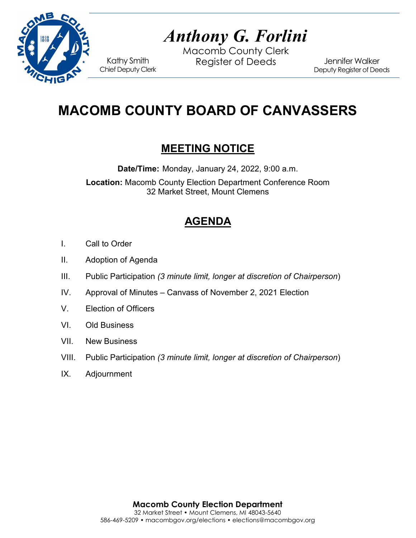

# *Anthony G. Forlini*

Macomb County Clerk Kathy Smith Register of Deeds<br>Chief Deputy Clerk

Jennifer Walker Deputy Register of Deeds

## **MACOMB COUNTY BOARD OF CANVASSERS**

### **MEETING NOTICE**

**Date/Time:** Monday, January 24, 2022, 9:00 a.m.

**Location:** Macomb County Election Department Conference Room 32 Market Street, Mount Clemens

## **AGENDA**

- I. Call to Order
- II. Adoption of Agenda
- III. Public Participation *(3 minute limit, longer at discretion of Chairperson*)
- IV. Approval of Minutes Canvass of November 2, 2021 Election
- V. Election of Officers
- VI. Old Business
- VII. New Business
- VIII. Public Participation *(3 minute limit, longer at discretion of Chairperson*)
- IX. Adjournment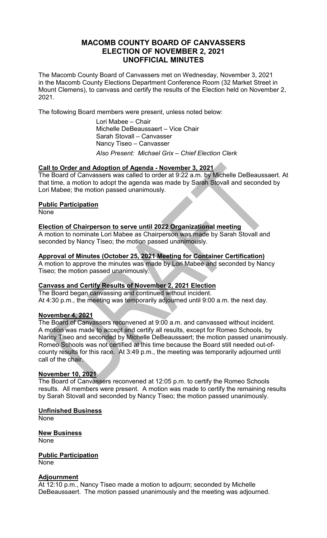#### **MACOMB COUNTY BOARD OF CANVASSERS ELECTION OF NOVEMBER 2, 2021 UNOFFICIAL MINUTES**

The Macomb County Board of Canvassers met on Wednesday, November 3, 2021 in the Macomb County Elections Department Conference Room (32 Market Street in Mount Clemens), to canvass and certify the results of the Election held on November 2, 2021.

The following Board members were present, unless noted below:

Lori Mabee – Chair Michelle DeBeaussaert – Vice Chair Sarah Stovall – Canvasser Nancy Tiseo – Canvasser *Also Present: Michael Grix – Chief Election Clerk*

#### **Call to Order and Adoption of Agenda - November 3, 2021**

The Board of Canvassers was called to order at 9:22 a.m. by Michelle DeBeaussaert. At that time, a motion to adopt the agenda was made by Sarah Stovall and seconded by Lori Mabee; the motion passed unanimously.

#### **Public Participation**

**None** 

#### **Election of Chairperson to serve until 2022 Organizational meeting**

A motion to nominate Lori Mabee as Chairperson was made by Sarah Stovall and seconded by Nancy Tiseo; the motion passed unanimously.

#### **Approval of Minutes (October 25, 2021 Meeting for Container Certification)**

A motion to approve the minutes was made by Lori Mabee and seconded by Nancy Tiseo; the motion passed unanimously.

#### **Canvass and Certify Results of November 2, 2021 Election**

The Board began canvassing and continued without incident. At 4:30 p.m., the meeting was temporarily adjourned until 9:00 a.m. the next day.

#### **November 4, 2021**

The Board of Canvassers reconvened at 9:00 a.m. and canvassed without incident. A motion was made to accept and certify all results, except for Romeo Schools, by Nancy Tiseo and seconded by Michelle DeBeaussaert; the motion passed unanimously. Romeo Schools was not certified at this time because the Board still needed out-ofcounty results for this race. At 3:49 p.m., the meeting was temporarily adjourned until call of the chair.

#### **November 10, 2021**

The Board of Canvassers reconvened at 12:05 p.m. to certify the Romeo Schools results. All members were present. A motion was made to certify the remaining results by Sarah Stovall and seconded by Nancy Tiseo; the motion passed unanimously.

**Unfinished Business** 

None

**New Business** None

**Public Participation** None

#### **Adjournment**

At 12:10 p.m., Nancy Tiseo made a motion to adjourn; seconded by Michelle DeBeaussaert. The motion passed unanimously and the meeting was adjourned.